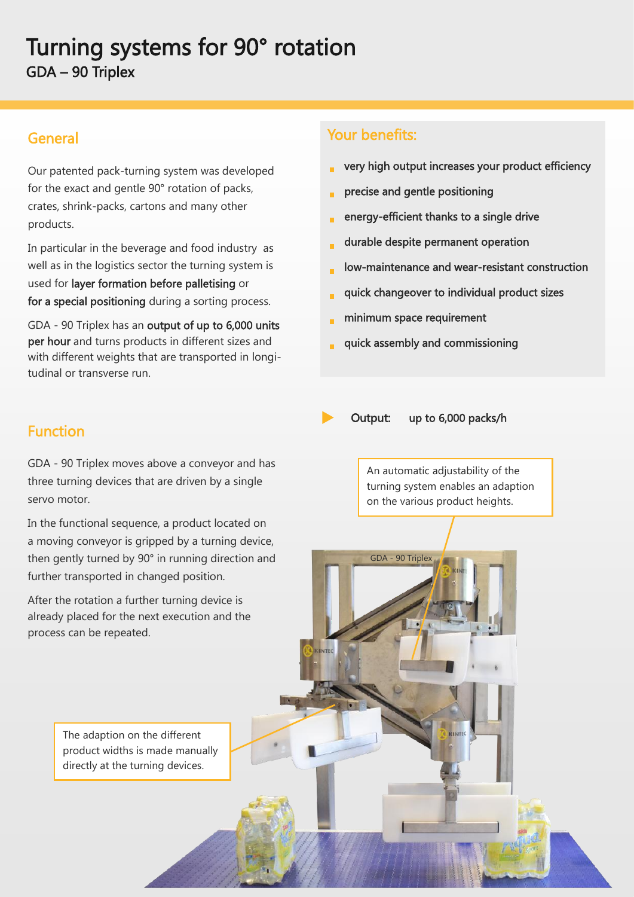## Turning systems for 90° rotation GDA – 90 Triplex

## General

Our patented pack-turning system was developed for the exact and gentle 90° rotation of packs, crates, shrink-packs, cartons and many other products.

In particular in the beverage and food industry as well as in the logistics sector the turning system is used for layer formation before palletising or for a special positioning during a sorting process.

GDA - 90 Triplex has an output of up to 6,000 units per hour and turns products in different sizes and with different weights that are transported in longitudinal or transverse run.

## Your benefits:

- very high output increases your product efficiency
- precise and gentle positioning ä
- energy-efficient thanks to a single drive
- durable despite permanent operation
- low-maintenance and wear-resistant construction
- quick changeover to individual product sizes É
- minimum space requirement

GDA - 90 Triplex

quick assembly and commissioning



**INTEC** 

Output: up to 6,000 packs/h

Function

GDA - 90 Triplex moves above a conveyor and has three turning devices that are driven by a single servo motor.

In the functional sequence, a product located on a moving conveyor is gripped by a turning device, then gently turned by 90° in running direction and further transported in changed position.

After the rotation a further turning device is already placed for the next execution and the process can be repeated.

An automatic adjustability of the turning system enables an adaption on the various product heights.

The adaption on the different product widths is made manually directly at the turning devices.